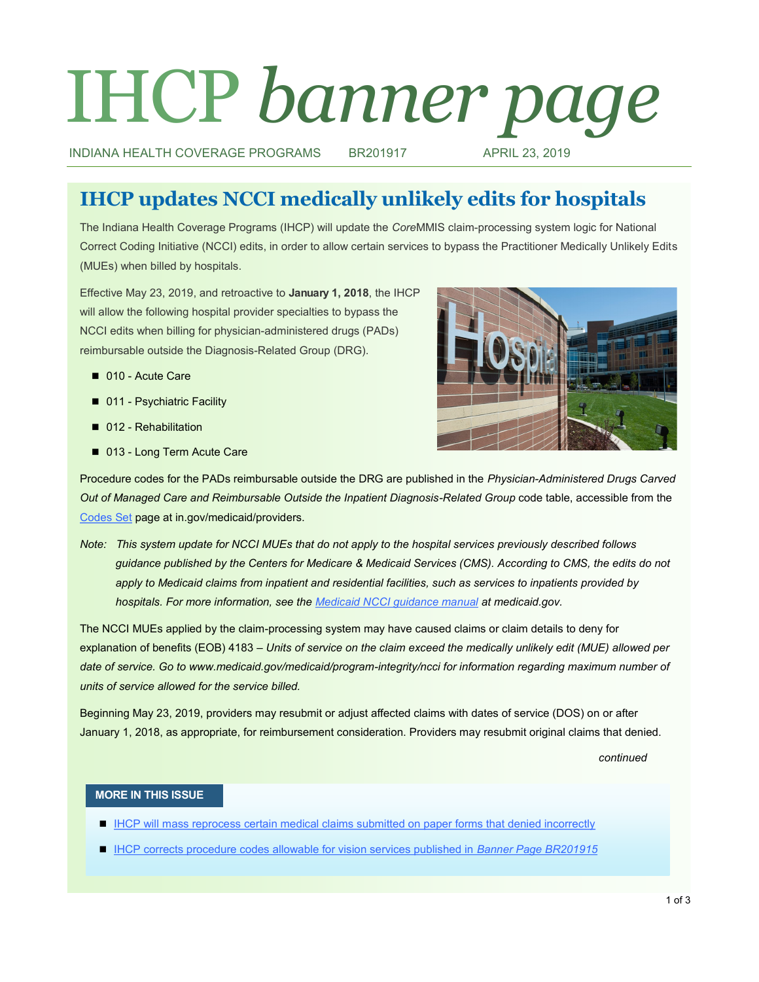# IHCP *banner page*

INDIANA HEALTH COVERAGE PROGRAMS BR201917 APRIL 23, 2019

# **IHCP updates NCCI medically unlikely edits for hospitals**

The Indiana Health Coverage Programs (IHCP) will update the *Core*MMIS claim-processing system logic for National Correct Coding Initiative (NCCI) edits, in order to allow certain services to bypass the Practitioner Medically Unlikely Edits (MUEs) when billed by hospitals.

Effective May 23, 2019, and retroactive to **January 1, 2018**, the IHCP will allow the following hospital provider specialties to bypass the NCCI edits when billing for physician-administered drugs (PADs) reimbursable outside the Diagnosis-Related Group (DRG).

- 010 Acute Care
- 011 Psychiatric Facility
- 012 Rehabilitation
- 013 Long Term Acute Care



Procedure codes for the PADs reimbursable outside the DRG are published in the *Physician-Administered Drugs Carved Out of Managed Care and Reimbursable Outside the Inpatient Diagnosis-Related Group* code table, accessible from the [Codes Set](https://www.in.gov/medicaid/providers/693.htm) page at in.gov/medicaid/providers.

*Note: This system update for NCCI MUEs that do not apply to the hospital services previously described follows guidance published by the Centers for Medicare & Medicaid Services (CMS). According to CMS, the edits do not apply to Medicaid claims from inpatient and residential facilities, such as services to inpatients provided by hospitals. For more information, see the [Medicaid NCCI guidance manual](https://www.medicaid.gov/medicaid/program-integrity/downloads/ncci/technical-guidance-on-state-implementation.pdf#page=10) at medicaid.gov.* 

The NCCI MUEs applied by the claim-processing system may have caused claims or claim details to deny for explanation of benefits (EOB) 4183 – *Units of service on the claim exceed the medically unlikely edit (MUE) allowed per date of service. Go to www.medicaid.gov/medicaid/program-integrity/ncci for information regarding maximum number of units of service allowed for the service billed.*

Beginning May 23, 2019, providers may resubmit or adjust affected claims with dates of service (DOS) on or after January 1, 2018, as appropriate, for reimbursement consideration. Providers may resubmit original claims that denied.

*continued*

#### **MORE IN THIS ISSUE**

- **[IHCP will mass reprocess certain medical claims submitted on paper forms that denied incorrectly](#page-1-0)**
- **[IHCP corrects procedure codes allowable for vision services published in](#page-1-0)** *Banner Page BR201915*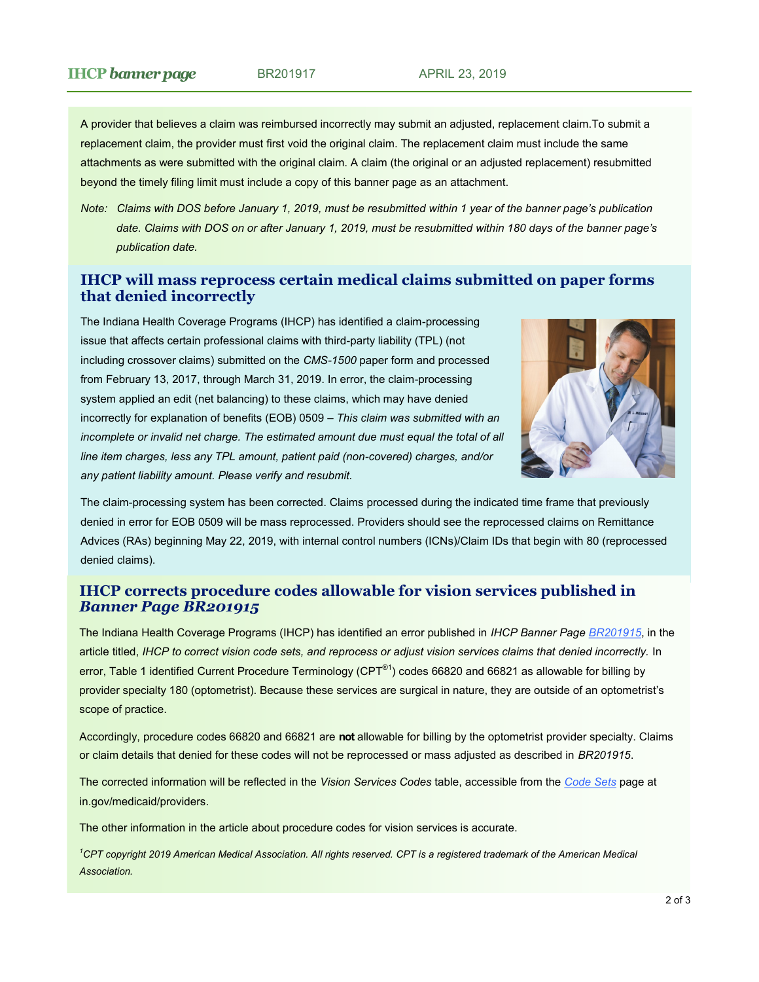<span id="page-1-0"></span>A provider that believes a claim was reimbursed incorrectly may submit an adjusted, replacement claim.To submit a replacement claim, the provider must first void the original claim. The replacement claim must include the same attachments as were submitted with the original claim. A claim (the original or an adjusted replacement) resubmitted beyond the timely filing limit must include a copy of this banner page as an attachment.

*Note: Claims with DOS before January 1, 2019, must be resubmitted within 1 year of the banner page's publication date. Claims with DOS on or after January 1, 2019, must be resubmitted within 180 days of the banner page's publication date.* 

# **IHCP will mass reprocess certain medical claims submitted on paper forms that denied incorrectly**

The Indiana Health Coverage Programs (IHCP) has identified a claim-processing issue that affects certain professional claims with third-party liability (TPL) (not including crossover claims) submitted on the *CMS-1500* paper form and processed from February 13, 2017, through March 31, 2019. In error, the claim-processing system applied an edit (net balancing) to these claims, which may have denied incorrectly for explanation of benefits (EOB) 0509 – *This claim was submitted with an*  incomplete or invalid net charge. The estimated amount due must equal the total of all *line item charges, less any TPL amount, patient paid (non-covered) charges, and/or any patient liability amount. Please verify and resubmit.*



The claim-processing system has been corrected. Claims processed during the indicated time frame that previously denied in error for EOB 0509 will be mass reprocessed. Providers should see the reprocessed claims on Remittance Advices (RAs) beginning May 22, 2019, with internal control numbers (ICNs)/Claim IDs that begin with 80 (reprocessed denied claims).

# **IHCP corrects procedure codes allowable for vision services published in**  *Banner Page BR201915*

The Indiana Health Coverage Programs (IHCP) has identified an error published in *IHCP Banner Page [BR201915](http://provider.indianamedicaid.com/ihcp/Banners/BR201915.pdf)*, in the article titled, *IHCP to correct vision code sets, and reprocess or adjust vision services claims that denied incorrectly.* In error, Table 1 identified Current Procedure Terminology (CPT<sup>®1</sup>) codes 66820 and 66821 as allowable for billing by provider specialty 180 (optometrist). Because these services are surgical in nature, they are outside of an optometrist's scope of practice.

Accordingly, procedure codes 66820 and 66821 are **not** allowable for billing by the optometrist provider specialty. Claims or claim details that denied for these codes will not be reprocessed or mass adjusted as described in *BR201915*.

The corrected information will be reflected in the *Vision Services Codes* table, accessible from the *[Code Sets](https://www.in.gov/medicaid/providers/693.htm)* page at in.gov/medicaid/providers.

The other information in the article about procedure codes for vision services is accurate.

*<sup>1</sup>CPT copyright 2019 American Medical Association. All rights reserved. CPT is a registered trademark of the American Medical Association.*